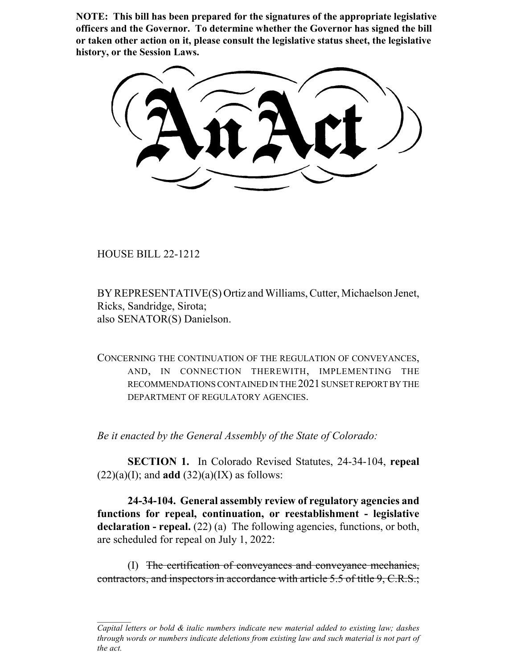**NOTE: This bill has been prepared for the signatures of the appropriate legislative officers and the Governor. To determine whether the Governor has signed the bill or taken other action on it, please consult the legislative status sheet, the legislative history, or the Session Laws.**

HOUSE BILL 22-1212

BY REPRESENTATIVE(S) Ortiz and Williams, Cutter, Michaelson Jenet, Ricks, Sandridge, Sirota; also SENATOR(S) Danielson.

CONCERNING THE CONTINUATION OF THE REGULATION OF CONVEYANCES, AND, IN CONNECTION THEREWITH, IMPLEMENTING THE RECOMMENDATIONS CONTAINED IN THE 2021 SUNSET REPORT BY THE DEPARTMENT OF REGULATORY AGENCIES.

*Be it enacted by the General Assembly of the State of Colorado:*

**SECTION 1.** In Colorado Revised Statutes, 24-34-104, **repeal**  $(22)(a)(I)$ ; and **add**  $(32)(a)(IX)$  as follows:

**24-34-104. General assembly review of regulatory agencies and functions for repeal, continuation, or reestablishment - legislative** declaration - repeal. (22) (a) The following agencies, functions, or both, are scheduled for repeal on July 1, 2022:

(I) The certification of conveyances and conveyance mechanics, contractors, and inspectors in accordance with article 5.5 of title 9, C.R.S.;

*Capital letters or bold & italic numbers indicate new material added to existing law; dashes through words or numbers indicate deletions from existing law and such material is not part of the act.*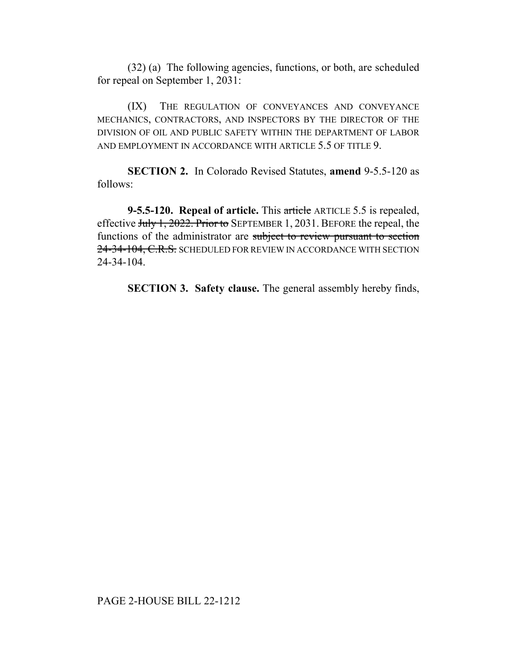(32) (a) The following agencies, functions, or both, are scheduled for repeal on September 1, 2031:

(IX) THE REGULATION OF CONVEYANCES AND CONVEYANCE MECHANICS, CONTRACTORS, AND INSPECTORS BY THE DIRECTOR OF THE DIVISION OF OIL AND PUBLIC SAFETY WITHIN THE DEPARTMENT OF LABOR AND EMPLOYMENT IN ACCORDANCE WITH ARTICLE 5.5 OF TITLE 9.

**SECTION 2.** In Colorado Revised Statutes, **amend** 9-5.5-120 as follows:

**9-5.5-120. Repeal of article.** This article ARTICLE 5.5 is repealed, effective July 1, 2022. Prior to SEPTEMBER 1, 2031. BEFORE the repeal, the functions of the administrator are subject to review pursuant to section 24-34-104, C.R.S. SCHEDULED FOR REVIEW IN ACCORDANCE WITH SECTION 24-34-104.

**SECTION 3. Safety clause.** The general assembly hereby finds,